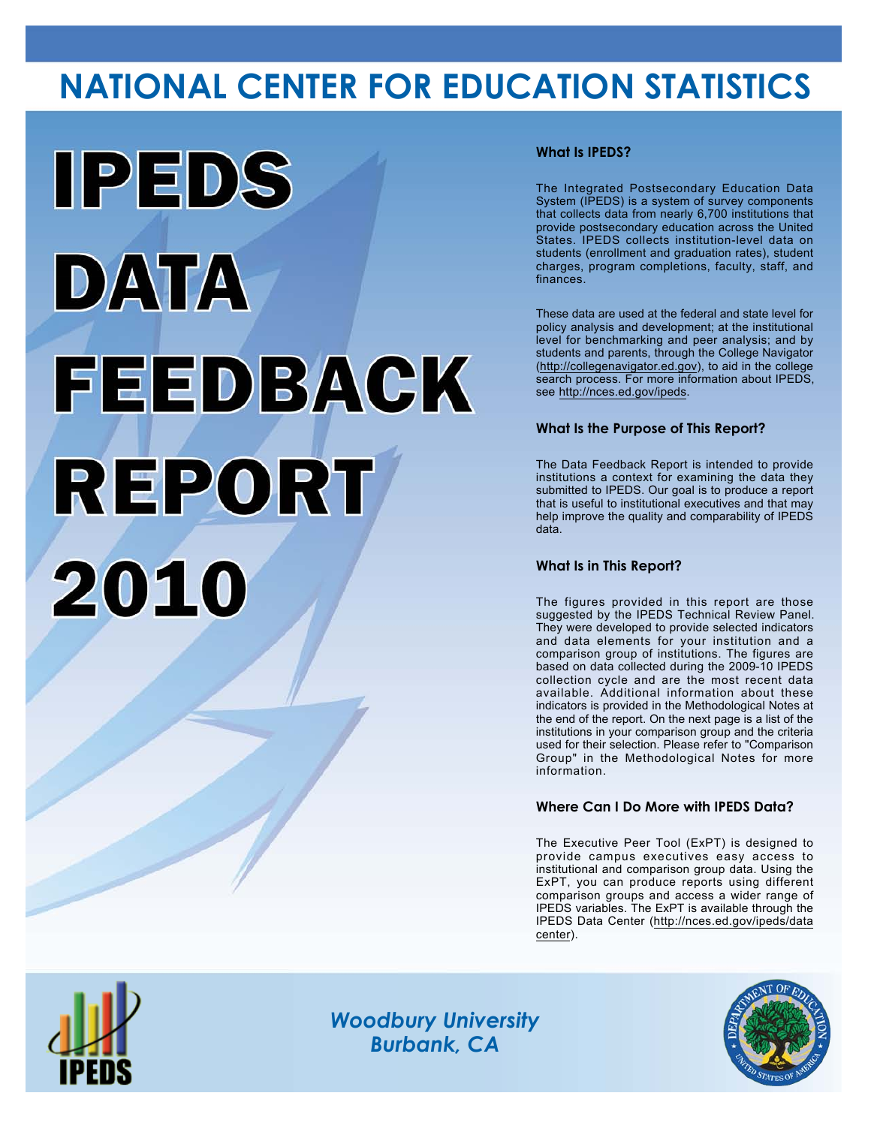# **NATIONAL CENTER FOR EDUCATION STATISTICS**



# **What Is IPEDS?**

The Integrated Postsecondary Education Data System (IPEDS) is a system of survey components that collects data from nearly 6,700 institutions that provide postsecondary education across the United States. IPEDS collects institution-level data on students (enrollment and graduation rates), student charges, program completions, faculty, staff, and finances.

These data are used at the federal and state level for policy analysis and development; at the institutional level for benchmarking and peer analysis; and by students and parents, through the College Navigator (<http://collegenavigator.ed.gov>), to aid in the college search process. For more information about IPEDS, see [http://nces.ed.gov/ipeds.](http://nces.ed.gov/ipeds)

# **What Is the Purpose of This Report?**

The Data Feedback Report is intended to provide institutions a context for examining the data they submitted to IPEDS. Our goal is to produce a report that is useful to institutional executives and that may help improve the quality and comparability of IPEDS data.

### **What Is in This Report?**

The figures provided in this report are those suggested by the IPEDS Technical Review Panel. They were developed to provide selected indicators and data elements for your institution and a comparison group of institutions. The figures are based on data collected during the 2009-10 IPEDS collection cycle and are the most recent data available. Additional information about these indicators is provided in the Methodological Notes at the end of the report. On the next page is a list of the institutions in your comparison group and the criteria used for their selection. Please refer to "Comparison Group" in the Methodological Notes for more information.

## **Where Can I Do More with IPEDS Data?**

The Executive Peer Tool (ExPT) is designed to provide campus executives easy access to institutional and comparison group data. Using the ExPT, you can produce reports using different comparison groups and access a wider range of IPEDS variables. The ExPT is available through the IPEDS Data Center ([http://nces.ed.gov/ipeds/data](http://nces.ed.gov/ipeds/datacenter) [center](http://nces.ed.gov/ipeds/datacenter)).



Image description. Cover Image End of image description.

*Woodbury University Burbank, CA*

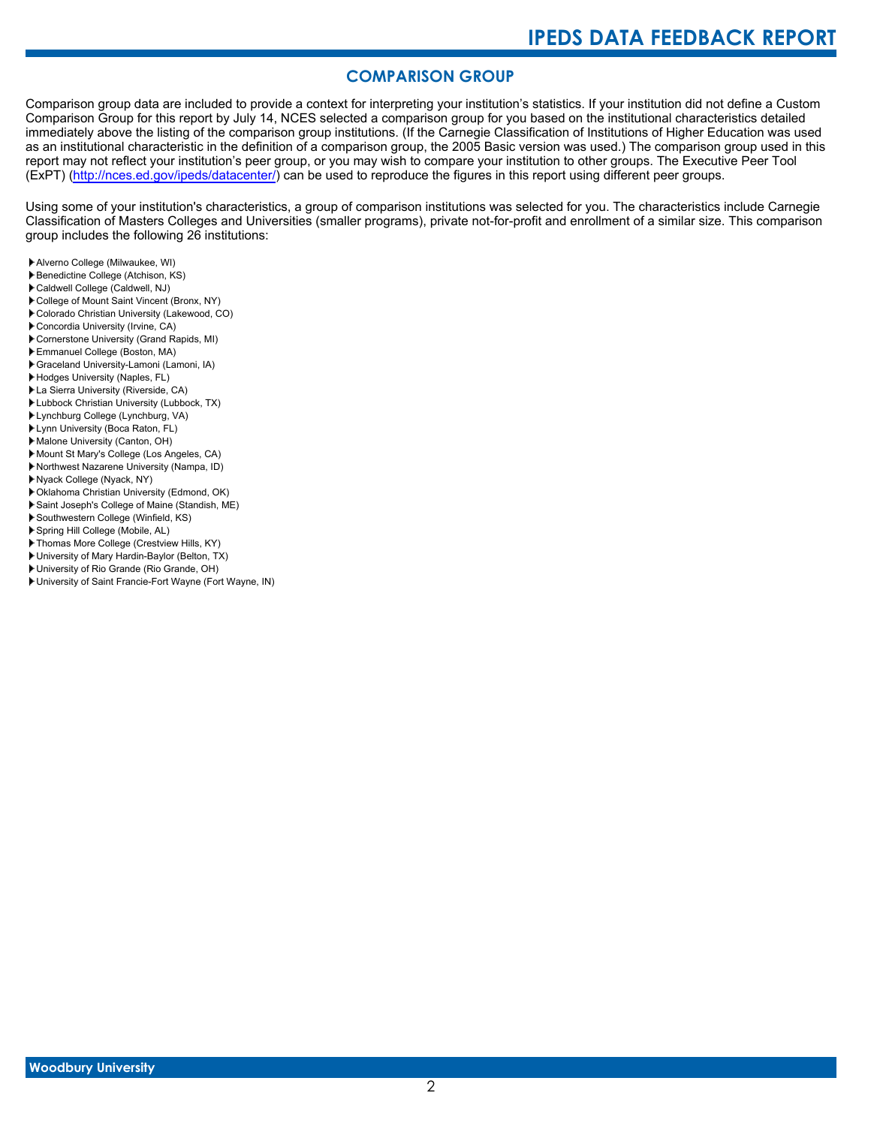# **COMPARISON GROUP**

Comparison group data are included to provide a context for interpreting your institution's statistics. If your institution did not define a Custom Comparison Group for this report by July 14, NCES selected a comparison group for you based on the institutional characteristics detailed immediately above the listing of the comparison group institutions. (If the Carnegie Classification of Institutions of Higher Education was used as an institutional characteristic in the definition of a comparison group, the 2005 Basic version was used.) The comparison group used in this report may not reflect your institution's peer group, or you may wish to compare your institution to other groups. The Executive Peer Tool (ExPT) [\(http://nces.ed.gov/ipeds/datacenter/\)](http://nces.ed.gov/ipeds/datacenter/) can be used to reproduce the figures in this report using different peer groups.

Using some of your institution's characteristics, a group of comparison institutions was selected for you. The characteristics include Carnegie Classification of Masters Colleges and Universities (smaller programs), private not-for-profit and enrollment of a similar size. This comparison group includes the following 26 institutions:

- Alverno College (Milwaukee, WI)
- Benedictine College (Atchison, KS)
- Caldwell College (Caldwell, NJ)
- College of Mount Saint Vincent (Bronx, NY)
- Colorado Christian University (Lakewood, CO)
- Concordia University (Irvine, CA)
- Cornerstone University (Grand Rapids, MI)
- Emmanuel College (Boston, MA) Graceland University-Lamoni (Lamoni, IA)
- Hodges University (Naples, FL)
- La Sierra University (Riverside, CA)
- Lubbock Christian University (Lubbock, TX)
- Lynchburg College (Lynchburg, VA)
- Lynn University (Boca Raton, FL)
- Malone University (Canton, OH)
- Mount St Mary's College (Los Angeles, CA)
- Northwest Nazarene University (Nampa, ID)
- Nyack College (Nyack, NY)
- Oklahoma Christian University (Edmond, OK)
- Saint Joseph's College of Maine (Standish, ME)
- Southwestern College (Winfield, KS)
- Spring Hill College (Mobile, AL)
- Thomas More College (Crestview Hills, KY)
- University of Mary Hardin-Baylor (Belton, TX)
- University of Rio Grande (Rio Grande, OH)
- University of Saint Francie-Fort Wayne (Fort Wayne, IN)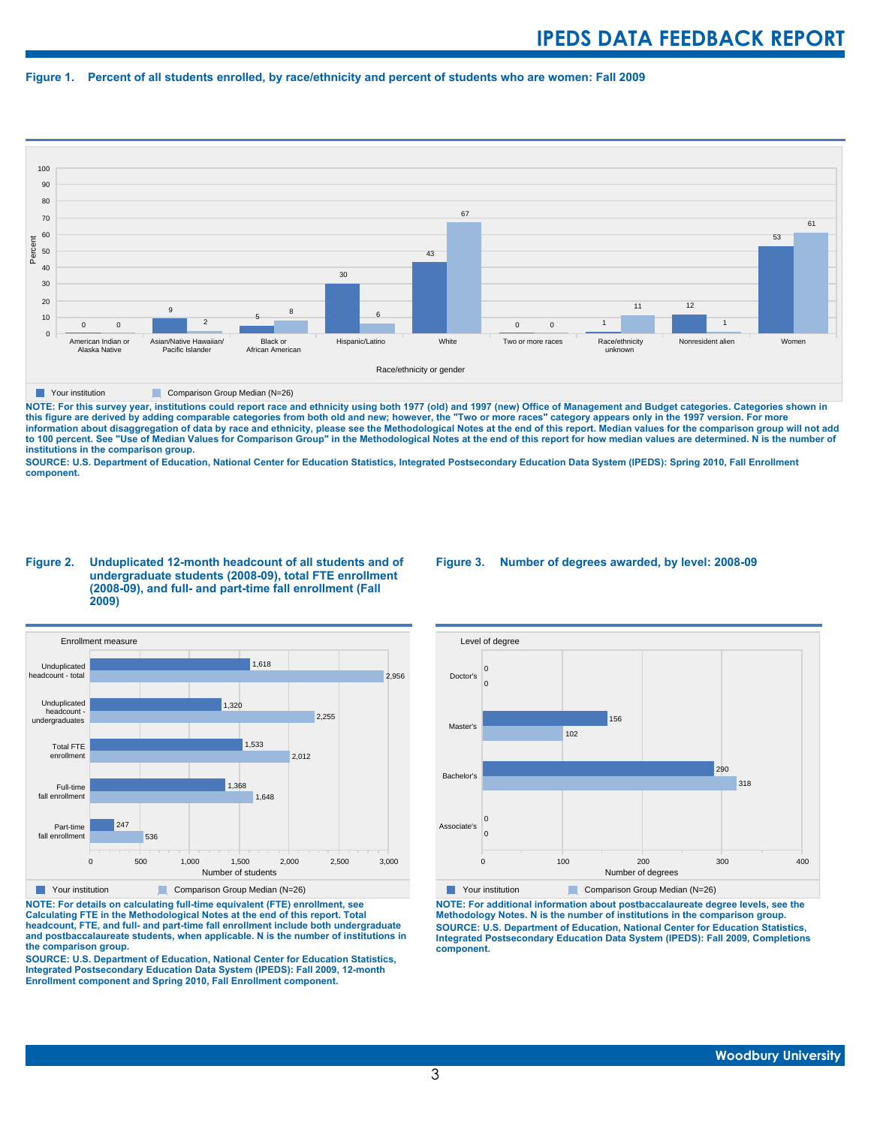#### **Figure 1. Percent of all students enrolled, by race/ethnicity and percent of students who are women: Fall 2009**



**The Comparison Group Median (N=26)** Comparison Group Median (N=26)

NOTE: For this survey year, institutions could report race and ethnicity using both 1977 (old) and 1997 (new) Office of Management and Budget categories. Categories shown in<br>this figure are derived by adding comparable cat **information about disaggregation of data by race and ethnicity, please see the Methodological Notes at the end of this report. Median values for the comparison group will not add to 100 percent. See "Use of Median Values for Comparison Group" in the Methodological Notes at the end of this report for how median values are determined. N is the number of institutions in the comparison group.**

**SOURCE: U.S. Department of Education, National Center for Education Statistics, Integrated Postsecondary Education Data System (IPEDS): Spring 2010, Fall Enrollment component.**

#### **Figure 2. Unduplicated 12-month headcount of all students and of undergraduate students (2008-09), total FTE enrollment (2008-09), and full- and part-time fall enrollment (Fall 2009)**



**The Comparison Group Median (N=26)** Comparison Group Median (N=26)

**NOTE: For details on calculating full-time equivalent (FTE) enrollment, see Calculating FTE in the Methodological Notes at the end of this report. Total headcount, FTE, and full- and part-time fall enrollment include both undergraduate and postbaccalaureate students, when applicable. N is the number of institutions in the comparison group.**

**SOURCE: U.S. Department of Education, National Center for Education Statistics, Integrated Postsecondary Education Data System (IPEDS): Fall 2009, 12-month Enrollment component and Spring 2010, Fall Enrollment component.**

#### **Figure 3. Number of degrees awarded, by level: 2008-09**



**NOTE: For additional information about postbaccalaureate degree levels, see the Methodology Notes. N is the number of institutions in the comparison group. SOURCE: U.S. Department of Education, National Center for Education Statistics, Integrated Postsecondary Education Data System (IPEDS): Fall 2009, Completions component.**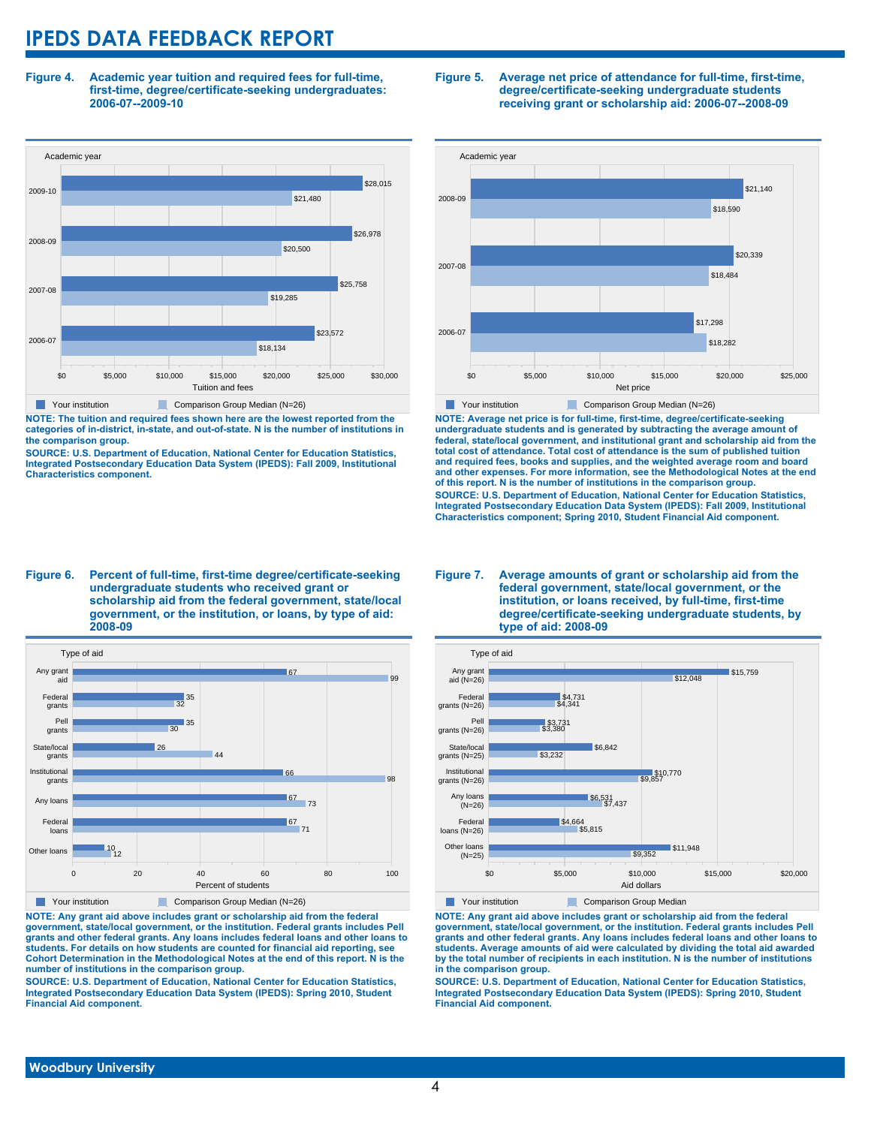**Figure 4. Academic year tuition and required fees for full-time, first-time, degree/certificate-seeking undergraduates: 2006-07--2009-10**



**NOTE: The tuition and required fees shown here are the lowest reported from the categories of in-district, in-state, and out-of-state. N is the number of institutions in the comparison group.**

**SOURCE: U.S. Department of Education, National Center for Education Statistics, Integrated Postsecondary Education Data System (IPEDS): Fall 2009, Institutional Characteristics component.**

#### **Figure 5. Average net price of attendance for full-time, first-time, degree/certificate-seeking undergraduate students receiving grant or scholarship aid: 2006-07--2008-09**



**NOTE: Average net price is for full-time, first-time, degree/certificate-seeking undergraduate students and is generated by subtracting the average amount of federal, state/local government, and institutional grant and scholarship aid from the total cost of attendance. Total cost of attendance is the sum of published tuition and required fees, books and supplies, and the weighted average room and board and other expenses. For more information, see the Methodological Notes at the end of this report. N is the number of institutions in the comparison group. SOURCE: U.S. Department of Education, National Center for Education Statistics, Integrated Postsecondary Education Data System (IPEDS): Fall 2009, Institutional Characteristics component; Spring 2010, Student Financial Aid component.**

#### **Figure 6. Percent of full-time, first-time degree/certificate-seeking undergraduate students who received grant or scholarship aid from the federal government, state/local government, or the institution, or loans, by type of aid: 2008-09**



**NOTE: Any grant aid above includes grant or scholarship aid from the federal government, state/local government, or the institution. Federal grants includes Pell grants and other federal grants. Any loans includes federal loans and other loans to students. For details on how students are counted for financial aid reporting, see Cohort Determination in the Methodological Notes at the end of this report. N is the number of institutions in the comparison group.**

**SOURCE: U.S. Department of Education, National Center for Education Statistics, Integrated Postsecondary Education Data System (IPEDS): Spring 2010, Student Financial Aid component.**

#### **Figure 7. Average amounts of grant or scholarship aid from the federal government, state/local government, or the institution, or loans received, by full-time, first-time degree/certificate-seeking undergraduate students, by type of aid: 2008-09**



**The Your institution Comparison Group Median** 

**NOTE: Any grant aid above includes grant or scholarship aid from the federal government, state/local government, or the institution. Federal grants includes Pell grants and other federal grants. Any loans includes federal loans and other loans to students. Average amounts of aid were calculated by dividing the total aid awarded by the total number of recipients in each institution. N is the number of institutions in the comparison group.**

**SOURCE: U.S. Department of Education, National Center for Education Statistics, Integrated Postsecondary Education Data System (IPEDS): Spring 2010, Student Financial Aid component.**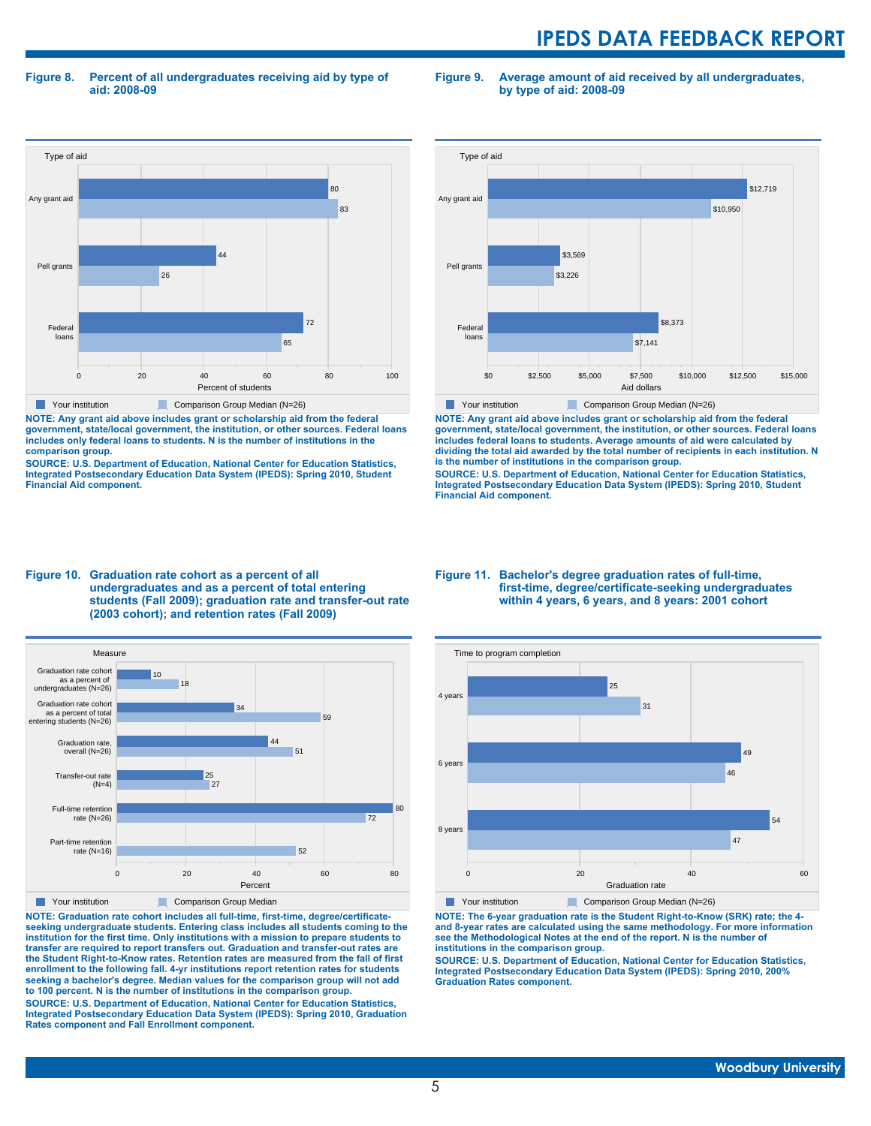**Figure 8. Percent of all undergraduates receiving aid by type of aid: 2008-09**

**Figure 9. Average amount of aid received by all undergraduates, by type of aid: 2008-09**



**NOTE: Any grant aid above includes grant or scholarship aid from the federal government, state/local government, the institution, or other sources. Federal loans includes only federal loans to students. N is the number of institutions in the comparison group.**

**SOURCE: U.S. Department of Education, National Center for Education Statistics, Integrated Postsecondary Education Data System (IPEDS): Spring 2010, Student Financial Aid component.**



**NOTE: Any grant aid above includes grant or scholarship aid from the federal government, state/local government, the institution, or other sources. Federal loans includes federal loans to students. Average amounts of aid were calculated by dividing the total aid awarded by the total number of recipients in each institution. N is the number of institutions in the comparison group.**

**SOURCE: U.S. Department of Education, National Center for Education Statistics, Integrated Postsecondary Education Data System (IPEDS): Spring 2010, Student Financial Aid component.**





**NOTE: Graduation rate cohort includes all full-time, first-time, degree/certificateseeking undergraduate students. Entering class includes all students coming to the institution for the first time. Only institutions with a mission to prepare students to transfer are required to report transfers out. Graduation and transfer-out rates are the Student Right-to-Know rates. Retention rates are measured from the fall of first enrollment to the following fall. 4-yr institutions report retention rates for students seeking a bachelor's degree. Median values for the comparison group will not add to 100 percent. N is the number of institutions in the comparison group.**

**SOURCE: U.S. Department of Education, National Center for Education Statistics, Integrated Postsecondary Education Data System (IPEDS): Spring 2010, Graduation Rates component and Fall Enrollment component.**

#### **Figure 11. Bachelor's degree graduation rates of full-time, first-time, degree/certificate-seeking undergraduates within 4 years, 6 years, and 8 years: 2001 cohort**



**NOTE: The 6-year graduation rate is the Student Right-to-Know (SRK) rate; the 4 and 8-year rates are calculated using the same methodology. For more information see the Methodological Notes at the end of the report. N is the number of institutions in the comparison group.**

**SOURCE: U.S. Department of Education, National Center for Education Statistics, Integrated Postsecondary Education Data System (IPEDS): Spring 2010, 200% Graduation Rates component.**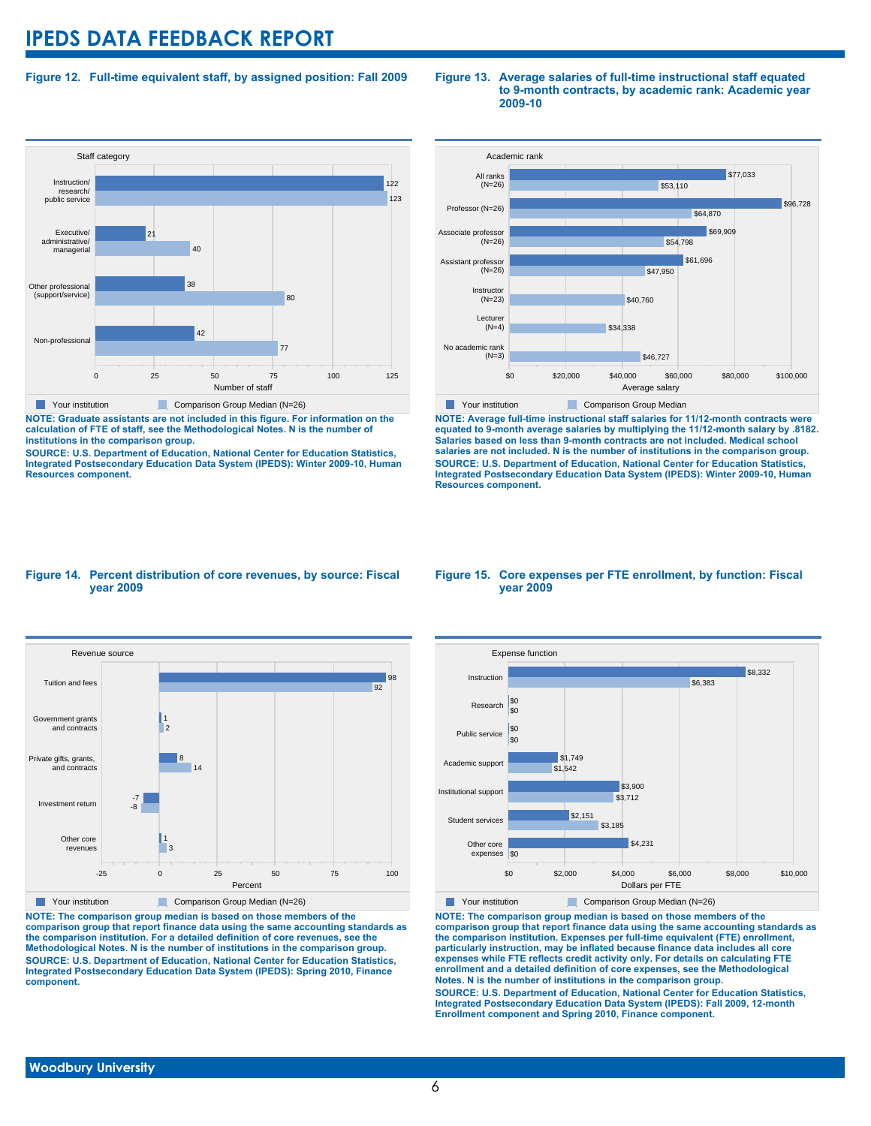### **Figure 12. Full-time equivalent staff, by assigned position: Fall 2009**



**NOTE: Graduate assistants are not included in this figure. For information on the calculation of FTE of staff, see the Methodological Notes. N is the number of institutions in the comparison group.**

**SOURCE: U.S. Department of Education, National Center for Education Statistics, Integrated Postsecondary Education Data System (IPEDS): Winter 2009-10, Human Resources component.**

#### **Figure 13. Average salaries of full-time instructional staff equated to 9-month contracts, by academic rank: Academic year 2009-10**

![](_page_5_Figure_6.jpeg)

**NOTE: Average full-time instructional staff salaries for 11/12-month contracts were equated to 9-month average salaries by multiplying the 11/12-month salary by .8182. Salaries based on less than 9-month contracts are not included. Medical school salaries are not included. N is the number of institutions in the comparison group. SOURCE: U.S. Department of Education, National Center for Education Statistics, Integrated Postsecondary Education Data System (IPEDS): Winter 2009-10, Human Resources component.**

#### **Figure 14. Percent distribution of core revenues, by source: Fiscal year 2009**

![](_page_5_Figure_9.jpeg)

**NOTE: The comparison group median is based on those members of the comparison group that report finance data using the same accounting standards as the comparison institution. For a detailed definition of core revenues, see the Methodological Notes. N is the number of institutions in the comparison group. SOURCE: U.S. Department of Education, National Center for Education Statistics, Integrated Postsecondary Education Data System (IPEDS): Spring 2010, Finance component.**

#### **Figure 15. Core expenses per FTE enrollment, by function: Fiscal year 2009**

![](_page_5_Figure_12.jpeg)

**NOTE: The comparison group median is based on those members of the comparison group that report finance data using the same accounting standards as the comparison institution. Expenses per full-time equivalent (FTE) enrollment, particularly instruction, may be inflated because finance data includes all core expenses while FTE reflects credit activity only. For details on calculating FTE enrollment and a detailed definition of core expenses, see the Methodological Notes. N is the number of institutions in the comparison group. SOURCE: U.S. Department of Education, National Center for Education Statistics, Integrated Postsecondary Education Data System (IPEDS): Fall 2009, 12-month Enrollment component and Spring 2010, Finance component.**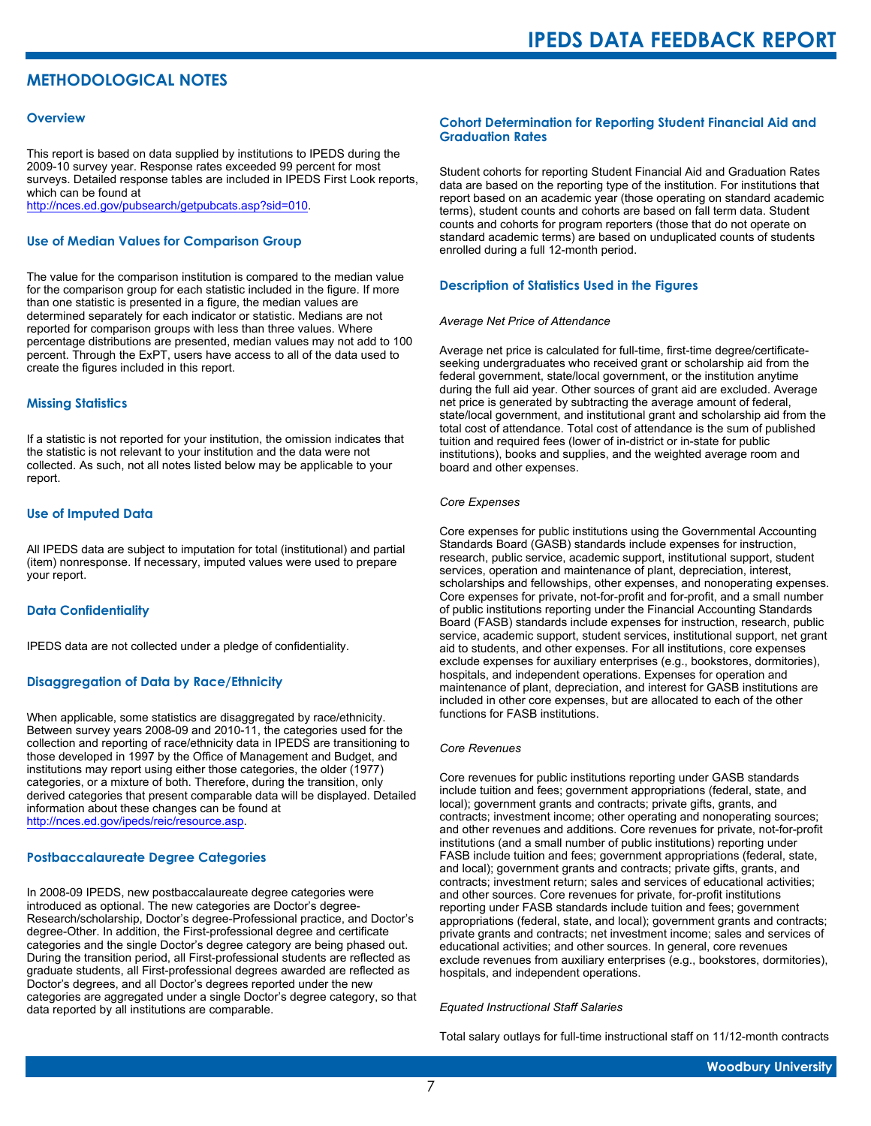# **METHODOLOGICAL NOTES**

#### **Overview**

This report is based on data supplied by institutions to IPEDS during the 2009-10 survey year. Response rates exceeded 99 percent for most surveys. Detailed response tables are included in IPEDS First Look reports, which can be found at [http://nces.ed.gov/pubsearch/getpubcats.asp?sid=010.](http://nces.ed.gov/pubsearch/getpubcats.asp?sid=010)

#### **Use of Median Values for Comparison Group**

The value for the comparison institution is compared to the median value for the comparison group for each statistic included in the figure. If more than one statistic is presented in a figure, the median values are determined separately for each indicator or statistic. Medians are not reported for comparison groups with less than three values. Where percentage distributions are presented, median values may not add to 100 percent. Through the ExPT, users have access to all of the data used to create the figures included in this report.

#### **Missing Statistics**

If a statistic is not reported for your institution, the omission indicates that the statistic is not relevant to your institution and the data were not collected. As such, not all notes listed below may be applicable to your report.

#### **Use of Imputed Data**

All IPEDS data are subject to imputation for total (institutional) and partial (item) nonresponse. If necessary, imputed values were used to prepare your report.

#### **Data Confidentiality**

IPEDS data are not collected under a pledge of confidentiality.

#### **Disaggregation of Data by Race/Ethnicity**

When applicable, some statistics are disaggregated by race/ethnicity. Between survey years 2008-09 and 2010-11, the categories used for the collection and reporting of race/ethnicity data in IPEDS are transitioning to those developed in 1997 by the Office of Management and Budget, and institutions may report using either those categories, the older (1977) categories, or a mixture of both. Therefore, during the transition, only derived categories that present comparable data will be displayed. Detailed information about these changes can be found at <http://nces.ed.gov/ipeds/reic/resource.asp>.

#### **Postbaccalaureate Degree Categories**

In 2008-09 IPEDS, new postbaccalaureate degree categories were introduced as optional. The new categories are Doctor's degree-Research/scholarship, Doctor's degree-Professional practice, and Doctor's degree-Other. In addition, the First-professional degree and certificate categories and the single Doctor's degree category are being phased out. During the transition period, all First-professional students are reflected as graduate students, all First-professional degrees awarded are reflected as Doctor's degrees, and all Doctor's degrees reported under the new categories are aggregated under a single Doctor's degree category, so that data reported by all institutions are comparable.

#### **Cohort Determination for Reporting Student Financial Aid and Graduation Rates**

Student cohorts for reporting Student Financial Aid and Graduation Rates data are based on the reporting type of the institution. For institutions that report based on an academic year (those operating on standard academic terms), student counts and cohorts are based on fall term data. Student counts and cohorts for program reporters (those that do not operate on standard academic terms) are based on unduplicated counts of students enrolled during a full 12-month period.

#### **Description of Statistics Used in the Figures**

#### *Average Net Price of Attendance*

Average net price is calculated for full-time, first-time degree/certificateseeking undergraduates who received grant or scholarship aid from the federal government, state/local government, or the institution anytime during the full aid year. Other sources of grant aid are excluded. Average net price is generated by subtracting the average amount of federal, state/local government, and institutional grant and scholarship aid from the total cost of attendance. Total cost of attendance is the sum of published tuition and required fees (lower of in-district or in-state for public institutions), books and supplies, and the weighted average room and board and other expenses.

#### *Core Expenses*

Core expenses for public institutions using the Governmental Accounting Standards Board (GASB) standards include expenses for instruction, research, public service, academic support, institutional support, student services, operation and maintenance of plant, depreciation, interest, scholarships and fellowships, other expenses, and nonoperating expenses. Core expenses for private, not-for-profit and for-profit, and a small number of public institutions reporting under the Financial Accounting Standards Board (FASB) standards include expenses for instruction, research, public service, academic support, student services, institutional support, net grant aid to students, and other expenses. For all institutions, core expenses exclude expenses for auxiliary enterprises (e.g., bookstores, dormitories), hospitals, and independent operations. Expenses for operation and maintenance of plant, depreciation, and interest for GASB institutions are included in other core expenses, but are allocated to each of the other functions for FASB institutions.

#### *Core Revenues*

Core revenues for public institutions reporting under GASB standards include tuition and fees; government appropriations (federal, state, and local); government grants and contracts; private gifts, grants, and contracts; investment income; other operating and nonoperating sources; and other revenues and additions. Core revenues for private, not-for-profit institutions (and a small number of public institutions) reporting under FASB include tuition and fees; government appropriations (federal, state, and local); government grants and contracts; private gifts, grants, and contracts; investment return; sales and services of educational activities; and other sources. Core revenues for private, for-profit institutions reporting under FASB standards include tuition and fees; government appropriations (federal, state, and local); government grants and contracts; private grants and contracts; net investment income; sales and services of educational activities; and other sources. In general, core revenues exclude revenues from auxiliary enterprises (e.g., bookstores, dormitories), hospitals, and independent operations.

#### *Equated Instructional Staff Salaries*

Total salary outlays for full-time instructional staff on 11/12-month contracts